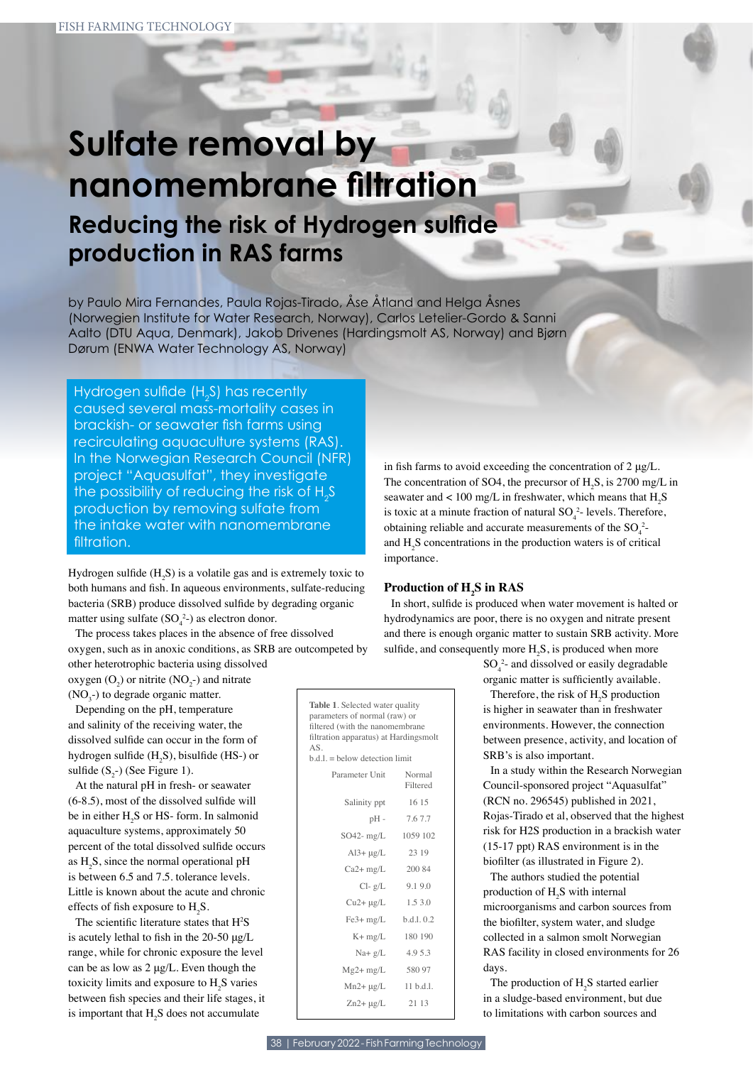# **Sulfate removal by nanomembrane filtration Reducing the risk of Hydrogen sulfide production in RAS farms**

by Paulo Mira Fernandes, Paula Rojas-Tirado, Åse Åtland and Helga Åsnes (Norwegien Institute for Water Research, Norway), Carlos Letelier-Gordo & Sanni Aalto (DTU Aqua, Denmark), Jakob Drivenes (Hardingsmolt AS, Norway) and Bjørn Dørum (ENWA Water Technology AS, Norway)

Hydrogen sulfide (H<sub>2</sub>S) has recently caused several mass-mortality cases in brackish- or seawater fish farms using recirculating aquaculture systems (RAS). In the Norwegian Research Council (NFR) project "Aquasulfat", they investigate the possibility of reducing the risk of  $H_{2}S$ production by removing sulfate from the intake water with nanomembrane filtration.

Hydrogen sulfide  $(H_2S)$  is a volatile gas and is extremely toxic to both humans and fsh. In aqueous environments, sulfate-reducing bacteria (SRB) produce dissolved sulfde by degrading organic matter using sulfate  $(SO_4^2)$  as electron donor.

The process takes places in the absence of free dissolved oxygen, such as in anoxic conditions, as SRB are outcompeted by other heterotrophic bacteria using dissolved

oxygen  $(O_2)$  or nitrite  $(NO_2^-)$  and nitrate  $(NO<sub>3</sub>$ -) to degrade organic matter.

Depending on the pH, temperature and salinity of the receiving water, the dissolved sulfde can occur in the form of hydrogen sulfide  $(H_2S)$ , bisulfide (HS-) or sulfide  $(S_2-)$  (See Figure 1).

At the natural pH in fresh- or seawater (6-8.5), most of the dissolved sulfde will be in either  $H_2S$  or HS- form. In salmonid aquaculture systems, approximately 50 percent of the total dissolved sulfde occurs as  $H_2S$ , since the normal operational pH is between 6.5 and 7.5. tolerance levels. Little is known about the acute and chronic effects of fish exposure to  $H_2S$ .

The scientific literature states that  $H^2S$ is acutely lethal to fsh in the 20-50 μg/L range, while for chronic exposure the level can be as low as 2 μg/L. Even though the toxicity limits and exposure to  $H_2S$  varies between fsh species and their life stages, it is important that  $H_2S$  does not accumulate

in fish farms to avoid exceeding the concentration of  $2 \mu g/L$ . The concentration of SO4, the precursor of  $H_2S$ , is 2700 mg/L in seawater and < 100 mg/L in freshwater, which means that  $H_2S$ is toxic at a minute fraction of natural  $SO_4^2$ - levels. Therefore, obtaining reliable and accurate measurements of the  $SO_4^2$ and  $H_2S$  concentrations in the production waters is of critical importance.

# **Production of H2 S in RAS**

In short, sulfde is produced when water movement is halted or hydrodynamics are poor, there is no oxygen and nitrate present and there is enough organic matter to sustain SRB activity. More sulfide, and consequently more  $H_2S$ , is produced when more

> $SO_4^2$ - and dissolved or easily degradable organic matter is sufficiently available.

Therefore, the risk of  $H_2S$  production is higher in seawater than in freshwater environments. However, the connection between presence, activity, and location of SRB's is also important.

In a study within the Research Norwegian Council-sponsored project "Aquasulfat" (RCN no. 296545) published in 2021, Rojas-Tirado et al, observed that the highest risk for H2S production in a brackish water (15-17 ppt) RAS environment is in the bioflter (as illustrated in Figure 2).

The authors studied the potential production of  $H_2S$  with internal microorganisms and carbon sources from the bioflter, system water, and sludge collected in a salmon smolt Norwegian RAS facility in closed environments for 26 days.

The production of  $H_2S$  started earlier in a sludge-based environment, but due to limitations with carbon sources and

**Table 1**. Selected water quality parameters of normal (raw) or fltered (with the nanomembrane fltration apparatus) at Hardingsmolt

 $b.d.l. =$  below detection limit

Parameter Unit Normal

Salinity ppt 16 15 pH - 7.6 7.7 SO42- mg/L 1059 102  $Al3+ \mu g/L$  23 19 Ca2+ mg/L 200 84  $Cl- g/L$  9.1 9.0  $Cu2 + \mu g/L$  1.5 3.0 Fe3+ mg/L b.d.l. 0.2 K+ mg/L 180 190 Na+ g/L 4.9 5.3 Mg2+ mg/L 580 97  $Mn2 + \mu g/L$  11 b.d.l. Zn2+ μg/L 21 13

Filtered

 $\Delta$   $\in$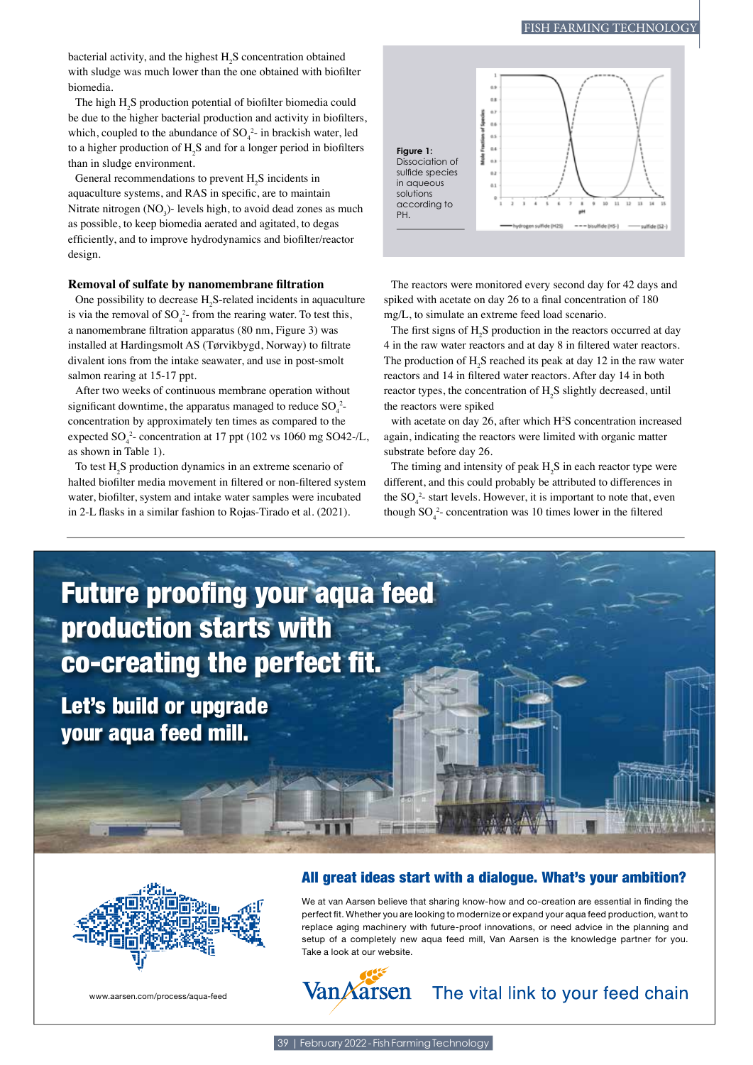## FISH FARMING TECHNOLOGY

bacterial activity, and the highest  $H_2S$  concentration obtained with sludge was much lower than the one obtained with bioflter biomedia.

The high  $H_2S$  production potential of biofilter biomedia could be due to the higher bacterial production and activity in bioflters, which, coupled to the abundance of  $SO_4^2$ - in brackish water, led to a higher production of  $H_2S$  and for a longer period in biofilters than in sludge environment.

General recommendations to prevent  $H_2S$  incidents in aquaculture systems, and RAS in specifc, are to maintain Nitrate nitrogen ( $NO<sub>3</sub>$ )- levels high, to avoid dead zones as much as possible, to keep biomedia aerated and agitated, to degas effciently, and to improve hydrodynamics and bioflter/reactor design.

### **Removal of sulfate by nanomembrane fltration**

One possibility to decrease  $H_2S$ -related incidents in aquaculture is via the removal of  $SO_4^2$ - from the rearing water. To test this, a nanomembrane fltration apparatus (80 nm, Figure 3) was installed at Hardingsmolt AS (Tørvikbygd, Norway) to fltrate divalent ions from the intake seawater, and use in post-smolt salmon rearing at 15-17 ppt.

After two weeks of continuous membrane operation without significant downtime, the apparatus managed to reduce  $SO_4^2$ concentration by approximately ten times as compared to the expected  $SO_4^2$ - concentration at 17 ppt (102 vs 1060 mg SO42-/L, as shown in Table 1).

To test  $H_2S$  production dynamics in an extreme scenario of halted bioflter media movement in fltered or non-fltered system water, bioflter, system and intake water samples were incubated in 2-L fasks in a similar fashion to Rojas-Tirado et al. (2021).



The reactors were monitored every second day for 42 days and spiked with acetate on day 26 to a fnal concentration of 180 mg/L, to simulate an extreme feed load scenario.

The first signs of  $H_2S$  production in the reactors occurred at day 4 in the raw water reactors and at day 8 in fltered water reactors. The production of  $H_2S$  reached its peak at day 12 in the raw water reactors and 14 in fltered water reactors. After day 14 in both reactor types, the concentration of  $H_2S$  slightly decreased, until the reactors were spiked

with acetate on day 26, after which H<sup>2</sup>S concentration increased again, indicating the reactors were limited with organic matter substrate before day 26.

The timing and intensity of peak  $H_2S$  in each reactor type were different, and this could probably be attributed to differences in the  $SO_4^2$ - start levels. However, it is important to note that, even though  $SO_4^2$ - concentration was 10 times lower in the filtered

**Future proofing your aqua feed** production starts with co-creating the perfect fit.

Let's build or upgrade your aqua feed mill.

www.aarsen.com/process/aqua-feed

# All great ideas start with a dialogue. What's your ambition?

We at van Aarsen believe that sharing know-how and co-creation are essential in fnding the perfect ft. Whether you are looking to modernize or expand your aqua feed production, want to replace aging machinery with future-proof innovations, or need advice in the planning and setup of a completely new aqua feed mill, Van Aarsen is the knowledge partner for you. Take a look at our website.



The vital link to your feed chain